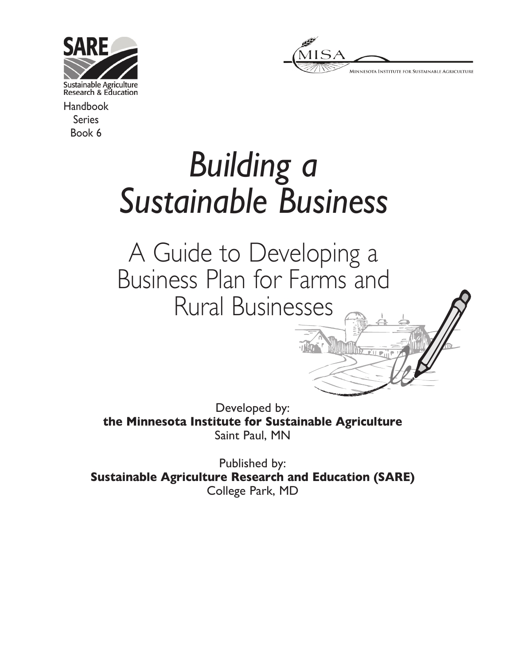



#### Handbook Series Book 6

# *Building a Sustainable Business*

A Guide to Developing a Business Plan for Farms and Rural Businesses

Developed by: **the Minnesota Institute for Sustainable Agriculture** Saint Paul, MN

Published by: **Sustainable Agriculture Research and Education (SARE)** College Park, MD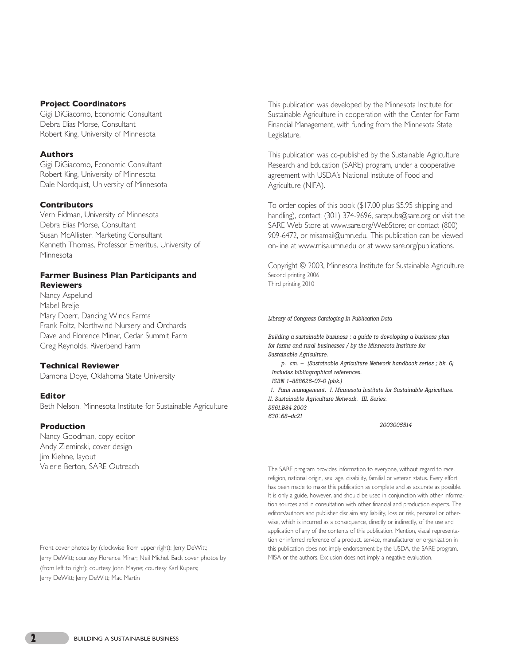#### **Project Coordinators**

Gigi DiGiacomo, Economic Consultant Debra Elias Morse, Consultant Robert King, University of Minnesota

#### **Authors**

Gigi DiGiacomo, Economic Consultant Robert King, University of Minnesota Dale Nordquist, University of Minnesota

#### **Contributors**

Vern Eidman, University of Minnesota Debra Elias Morse, Consultant Susan McAllister, Marketing Consultant Kenneth Thomas, Professor Emeritus, University of Minnesota

#### **Farmer Business Plan Participants and Reviewers**

Nancy Aspelund Mabel Brelje Mary Doerr, Dancing Winds Farms Frank Foltz, Northwind Nursery and Orchards Dave and Florence Minar, Cedar Summit Farm Greg Reynolds, Riverbend Farm

#### **Technical Reviewer**

Damona Doye, Oklahoma State University

#### **Editor**

Beth Nelson, Minnesota Institute for Sustainable Agriculture

#### **Production**

Nancy Goodman, copy editor Andy Zieminski, cover design Jim Kiehne, layout Valerie Berton, SARE Outreach

Front cover photos by (clockwise from upper right): Jerry DeWitt; Jerry DeWitt; courtesy Florence Minar; Neil Michel. Back cover photos by (from left to right): courtesy John Mayne; courtesy Karl Kupers; Jerry DeWitt; Jerry DeWitt; Mac Martin

This publication was developed by the Minnesota Institute for Sustainable Agriculture in cooperation with the Center for Farm Financial Management, with funding from the Minnesota State Legislature.

This publication was co-published by the Sustainable Agriculture Research and Education (SARE) program, under a cooperative agreement with USDA's National Institute of Food and Agriculture (NIFA).

To order copies of this book (\$17.00 plus \$5.95 shipping and handling), contact: (301) 374-9696, sarepubs@sare.org or visit the SARE Web Store at www.sare.org/WebStore; or contact (800) 909-6472, or misamail@umn.edu. This publication can be viewed on-line at www.misa.umn.edu or at www.sare.org/publications.

Copyright © 2003, Minnesota Institute for Sustainable Agriculture Second printing 2006 Third printing 2010

*Library of Congress Cataloging In Publication Data*

*Building a sustainable business : a guide to developing a business plan for farms and rural businesses / by the Minnesota Institute for Sustainable Agriculture.*

*p. cm. – (Sustainable Agriculture Network handbook series ; bk. 6) Includes bibliographical references.*

*ISBN 1-888626-07-0 (pbk.)*

*1. Farm management. I. Minnesota Institute for Sustainable Agriculture. II. Sustainable Agriculture Network. III. Series. S561.B84 2003 630'.68–dc21*

*2003005514*

The SARE program provides information to everyone, without regard to race, religion, national origin, sex, age, disability, familial or veteran status. Every effort has been made to make this publication as complete and as accurate as possible. It is only a guide, however, and should be used in conjunction with other information sources and in consultation with other financial and production experts. The editors/authors and publisher disclaim any liability, loss or risk, personal or otherwise, which is incurred as a consequence, directly or indirectly, of the use and application of any of the contents of this publication. Mention, visual representation or inferred reference of a product, service, manufacturer or organization in this publication does not imply endorsement by the USDA, the SARE program, MISA or the authors. Exclusion does not imply a negative evaluation.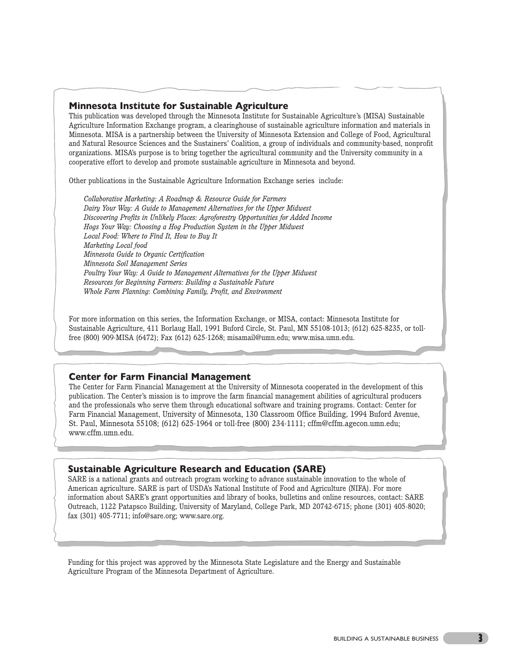#### **Minnesota Institute for Sustainable Agriculture**

This publication was developed through the Minnesota Institute for Sustainable Agriculture's (MISA) Sustainable Agriculture Information Exchange program, a clearinghouse of sustainable agriculture information and materials in Minnesota. MISA is a partnership between the University of Minnesota Extension and College of Food, Agricultural and Natural Resource Sciences and the Sustainers' Coalition, a group of individuals and community-based, nonprofit organizations. MISA's purpose is to bring together the agricultural community and the University community in a cooperative effort to develop and promote sustainable agriculture in Minnesota and beyond.

Other publications in the Sustainable Agriculture Information Exchange series include:

*Collaborative Marketing: A Roadmap & Resource Guide for Farmers Dairy Your Way: A Guide to Management Alternatives for the Upper Midwest Discovering Profits in Unlikely Places: Agroforestry Opportunities for Added Income Hogs Your Way: Choosing a Hog Production System in the Upper Midwest Local Food: Where to Find It, How to Buy It Marketing Local food Minnesota Guide to Organic Certification Minnesota Soil Management Series Poultry Your Way: A Guide to Management Alternatives for the Upper Midwest Resources for Beginning Farmers: Building a Sustainable Future Whole Farm Planning: Combining Family, Profit, and Environment*

For more information on this series, the Information Exchange, or MISA, contact: Minnesota Institute for Sustainable Agriculture, 411 Borlaug Hall, 1991 Buford Circle, St. Paul, MN 55108-1013; (612) 625-8235, or tollfree (800) 909-MISA (6472); Fax (612) 625-1268; misamail@umn.edu; www.misa.umn.edu.

#### **Center for Farm Financial Management**

The Center for Farm Financial Management at the University of Minnesota cooperated in the development of this publication. The Center's mission is to improve the farm financial management abilities of agricultural producers and the professionals who serve them through educational software and training programs. Contact: Center for Farm Financial Management, University of Minnesota, 130 Classroom Office Building, 1994 Buford Avenue, St. Paul, Minnesota 55108; (612) 625-1964 or toll-free (800) 234-1111; cffm@cffm.agecon.umn.edu; www.cffm.umn.edu.

#### **Sustainable Agriculture Research and Education (SARE)**

SARE is a national grants and outreach program working to advance sustainable innovation to the whole of American agriculture. SARE is part of USDA's National Institute of Food and Agriculture (NIFA). For more information about SARE's grant opportunities and library of books, bulletins and online resources, contact: SARE Outreach, 1122 Patapsco Building, University of Maryland, College Park, MD 20742-6715; phone (301) 405-8020; fax (301) 405-7711; info@sare.org; www.sare.org.

Funding for this project was approved by the Minnesota State Legislature and the Energy and Sustainable Agriculture Program of the Minnesota Department of Agriculture.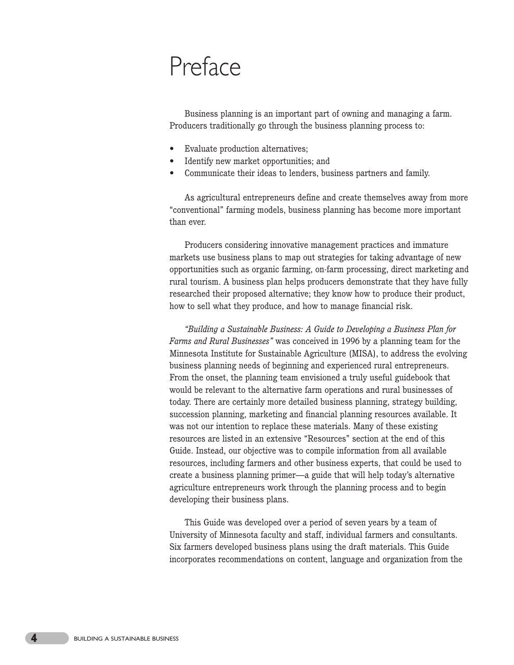## Preface

Business planning is an important part of owning and managing a farm. Producers traditionally go through the business planning process to:

- Evaluate production alternatives;
- Identify new market opportunities; and
- Communicate their ideas to lenders, business partners and family.

As agricultural entrepreneurs define and create themselves away from more "conventional" farming models, business planning has become more important than ever.

Producers considering innovative management practices and immature markets use business plans to map out strategies for taking advantage of new opportunities such as organic farming, on-farm processing, direct marketing and rural tourism. A business plan helps producers demonstrate that they have fully researched their proposed alternative; they know how to produce their product, how to sell what they produce, and how to manage financial risk.

*"Building a Sustainable Business: A Guide to Developing a Business Plan for Farms and Rural Businesses"* was conceived in 1996 by a planning team for the Minnesota Institute for Sustainable Agriculture (MISA), to address the evolving business planning needs of beginning and experienced rural entrepreneurs. From the onset, the planning team envisioned a truly useful guidebook that would be relevant to the alternative farm operations and rural businesses of today. There are certainly more detailed business planning, strategy building, succession planning, marketing and financial planning resources available. It was not our intention to replace these materials. Many of these existing resources are listed in an extensive "Resources" section at the end of this Guide. Instead, our objective was to compile information from all available resources, including farmers and other business experts, that could be used to create a business planning primer—a guide that will help today's alternative agriculture entrepreneurs work through the planning process and to begin developing their business plans.

This Guide was developed over a period of seven years by a team of University of Minnesota faculty and staff, individual farmers and consultants. Six farmers developed business plans using the draft materials. This Guide incorporates recommendations on content, language and organization from the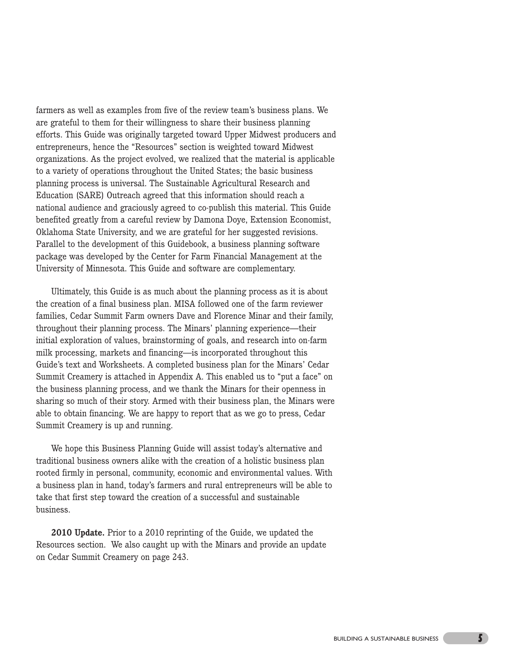farmers as well as examples from five of the review team's business plans. We are grateful to them for their willingness to share their business planning efforts. This Guide was originally targeted toward Upper Midwest producers and entrepreneurs, hence the "Resources" section is weighted toward Midwest organizations. As the project evolved, we realized that the material is applicable to a variety of operations throughout the United States; the basic business planning process is universal. The Sustainable Agricultural Research and Education (SARE) Outreach agreed that this information should reach a national audience and graciously agreed to co-publish this material. This Guide benefited greatly from a careful review by Damona Doye, Extension Economist, Oklahoma State University, and we are grateful for her suggested revisions. Parallel to the development of this Guidebook, a business planning software package was developed by the Center for Farm Financial Management at the University of Minnesota. This Guide and software are complementary.

Ultimately, this Guide is as much about the planning process as it is about the creation of a final business plan. MISA followed one of the farm reviewer families, Cedar Summit Farm owners Dave and Florence Minar and their family, throughout their planning process. The Minars' planning experience—their initial exploration of values, brainstorming of goals, and research into on-farm milk processing, markets and financing—is incorporated throughout this Guide's text and Worksheets. A completed business plan for the Minars' Cedar Summit Creamery is attached in Appendix A. This enabled us to "put a face" on the business planning process, and we thank the Minars for their openness in sharing so much of their story. Armed with their business plan, the Minars were able to obtain financing. We are happy to report that as we go to press, Cedar Summit Creamery is up and running.

We hope this Business Planning Guide will assist today's alternative and traditional business owners alike with the creation of a holistic business plan rooted firmly in personal, community, economic and environmental values. With a business plan in hand, today's farmers and rural entrepreneurs will be able to take that first step toward the creation of a successful and sustainable business.

**2010 Update.** Prior to a 2010 reprinting of the Guide, we updated the Resources section. We also caught up with the Minars and provide an update on Cedar Summit Creamery on page 243.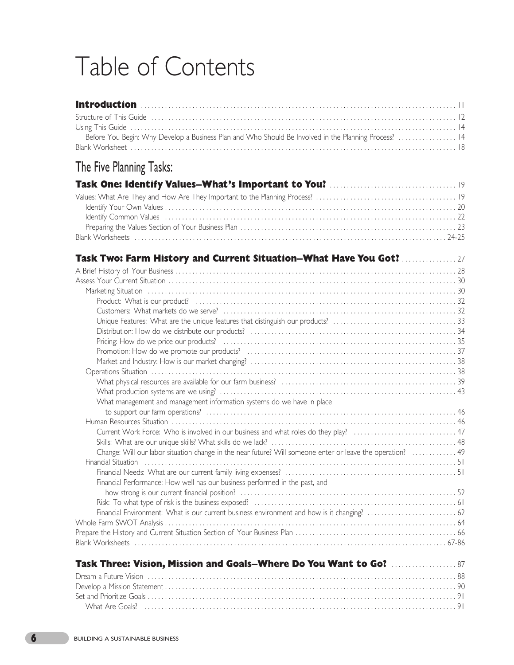# Table of Contents

| Introduction www.communication.com/www.com/www.com/www.com/www.com/www.com/www.com<br>Before You Begin: Why Develop a Business Plan and Who Should Be Involved in the Planning Process?  14<br>The Five Planning Tasks:        |
|--------------------------------------------------------------------------------------------------------------------------------------------------------------------------------------------------------------------------------|
|                                                                                                                                                                                                                                |
|                                                                                                                                                                                                                                |
|                                                                                                                                                                                                                                |
|                                                                                                                                                                                                                                |
|                                                                                                                                                                                                                                |
|                                                                                                                                                                                                                                |
|                                                                                                                                                                                                                                |
|                                                                                                                                                                                                                                |
|                                                                                                                                                                                                                                |
|                                                                                                                                                                                                                                |
|                                                                                                                                                                                                                                |
| Task Two: Farm History and Current Situation-What Have You Got?  27                                                                                                                                                            |
|                                                                                                                                                                                                                                |
|                                                                                                                                                                                                                                |
|                                                                                                                                                                                                                                |
|                                                                                                                                                                                                                                |
|                                                                                                                                                                                                                                |
|                                                                                                                                                                                                                                |
|                                                                                                                                                                                                                                |
|                                                                                                                                                                                                                                |
|                                                                                                                                                                                                                                |
|                                                                                                                                                                                                                                |
|                                                                                                                                                                                                                                |
|                                                                                                                                                                                                                                |
|                                                                                                                                                                                                                                |
| What management and management information systems do we have in place                                                                                                                                                         |
|                                                                                                                                                                                                                                |
| Current Work Force: Who is involved in our business and what roles do they play?  47                                                                                                                                           |
|                                                                                                                                                                                                                                |
| Change: Will our labor situation change in the near future? Will someone enter or leave the operation?  49                                                                                                                     |
|                                                                                                                                                                                                                                |
|                                                                                                                                                                                                                                |
| Financial Performance: How well has our business performed in the past, and                                                                                                                                                    |
|                                                                                                                                                                                                                                |
|                                                                                                                                                                                                                                |
| Financial Environment: What is our current business environment and how is it changing?  62                                                                                                                                    |
|                                                                                                                                                                                                                                |
|                                                                                                                                                                                                                                |
|                                                                                                                                                                                                                                |
| Task Three: Vision, Mission and Goals-Where Do You Want to Go? 87                                                                                                                                                              |
| Dream a Future Vision (and according to the control of the control of the control of the control of the control of the control of the control of the control of the control of the control of the control of the control of th |
|                                                                                                                                                                                                                                |

Set and Prioritize Goals . . . . . . . . . . . . . . . . . . . . . . . . . . . . . . . . . . . . . . . . . . . . . . . . . . . . . . . . . . . . . . . . . . . . . . . . . . . . . . . . . . . . . . . . . . 91 What Are Goals? . . . . . . . . . . . . . . . . . . . . . . . . . . . . . . . . . . . . . . . . . . . . . . . . . . . . . . . . . . . . . . . . . . . . . . . . . . . . . . . . . . . . . . . . . . . 91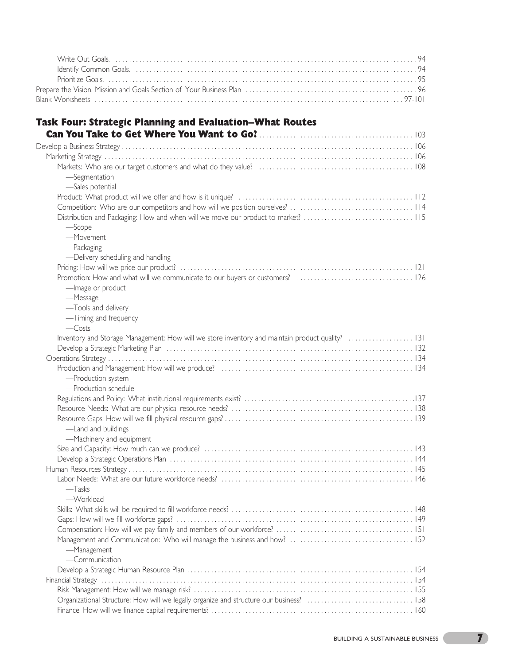## **Task Four: Strategic Planning and Evaluation–What Routes**

| -Segmentation                                                                                    |  |
|--------------------------------------------------------------------------------------------------|--|
| -Sales potential                                                                                 |  |
|                                                                                                  |  |
|                                                                                                  |  |
| Distribution and Packaging: How and when will we move our product to market? 115                 |  |
| -Scope                                                                                           |  |
| -Movement                                                                                        |  |
| -Packaging                                                                                       |  |
| -Delivery scheduling and handling                                                                |  |
|                                                                                                  |  |
|                                                                                                  |  |
| -Image or product                                                                                |  |
| -Message                                                                                         |  |
| -Tools and delivery                                                                              |  |
| -Timing and frequency                                                                            |  |
| $-Costs$                                                                                         |  |
| Inventory and Storage Management: How will we store inventory and maintain product quality?  131 |  |
| Develop a Strategic Marketing Plan (110) 132 (120) 132                                           |  |
|                                                                                                  |  |
|                                                                                                  |  |
| -Production system                                                                               |  |
| -Production schedule                                                                             |  |
|                                                                                                  |  |
|                                                                                                  |  |
|                                                                                                  |  |
| -Land and buildings                                                                              |  |
| -Machinery and equipment                                                                         |  |
|                                                                                                  |  |
|                                                                                                  |  |
|                                                                                                  |  |
| $-T$ asks                                                                                        |  |
| -Workload                                                                                        |  |
|                                                                                                  |  |
|                                                                                                  |  |
|                                                                                                  |  |
|                                                                                                  |  |
| -Management                                                                                      |  |
| -Communication                                                                                   |  |
|                                                                                                  |  |
|                                                                                                  |  |
|                                                                                                  |  |
| Organizational Structure: How will we legally organize and structure our business?  158          |  |
|                                                                                                  |  |
|                                                                                                  |  |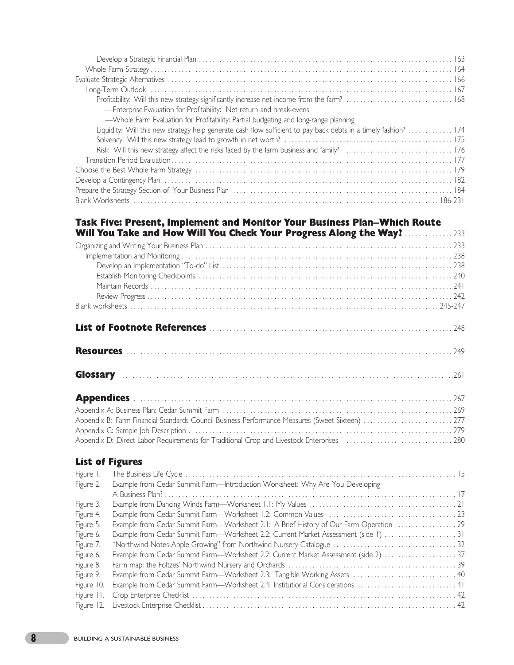| -Enterprise Evaluation for Profitability: Net return and break-evens                                             |  |
|------------------------------------------------------------------------------------------------------------------|--|
| -Whole Farm Evaluation for Profitability: Partial budgeting and long-range planning                              |  |
| Liquidity: Will this new strategy help generate cash flow sufficient to pay back debts in a timely fashion?  174 |  |
|                                                                                                                  |  |
|                                                                                                                  |  |
|                                                                                                                  |  |
|                                                                                                                  |  |
|                                                                                                                  |  |
|                                                                                                                  |  |
|                                                                                                                  |  |

#### **Task Five: Present, Implement and Monitor Your Business Plan–Which Route Will You Take and How Will You Check Your Progress Along the Way?** . . . . . . . . . . . . . . 233

| <b>VIIII IVU TANG ANU MUN VIIII IVU VIICUN TUUT FTUGTOS MIVIIG UIG VEAJ</b> F                   |  |
|-------------------------------------------------------------------------------------------------|--|
|                                                                                                 |  |
|                                                                                                 |  |
|                                                                                                 |  |
|                                                                                                 |  |
|                                                                                                 |  |
|                                                                                                 |  |
|                                                                                                 |  |
|                                                                                                 |  |
|                                                                                                 |  |
|                                                                                                 |  |
|                                                                                                 |  |
|                                                                                                 |  |
| Appendix B: Farm Financial Standards Council Business Performance Measures (Sweet Sixteen)  277 |  |
|                                                                                                 |  |
| Appendix D: Direct Labor Requirements for Traditional Crop and Livestock Enterprises  280       |  |

#### **List of Figures**

| Figure 1.  |                                                                                         |  |
|------------|-----------------------------------------------------------------------------------------|--|
| Figure 2.  | Example from Cedar Summit Farm-Introduction Worksheet: Why Are You Developing           |  |
|            |                                                                                         |  |
| Figure 3.  |                                                                                         |  |
| Figure 4.  |                                                                                         |  |
| Figure 5.  | Example from Cedar Summit Farm—Worksheet 2.1: A Brief History of Our Farm Operation  29 |  |
| Figure 6.  |                                                                                         |  |
| Figure 7.  |                                                                                         |  |
| Figure 6.  |                                                                                         |  |
| Figure 8.  |                                                                                         |  |
| Figure 9.  | Example from Cedar Summit Farm—Worksheet 2.3: Tangible Working Assets  40               |  |
| Figure 10. | Example from Cedar Summit Farm—Worksheet 2.4: Institutional Considerations  41          |  |
| Figure 11. |                                                                                         |  |
|            |                                                                                         |  |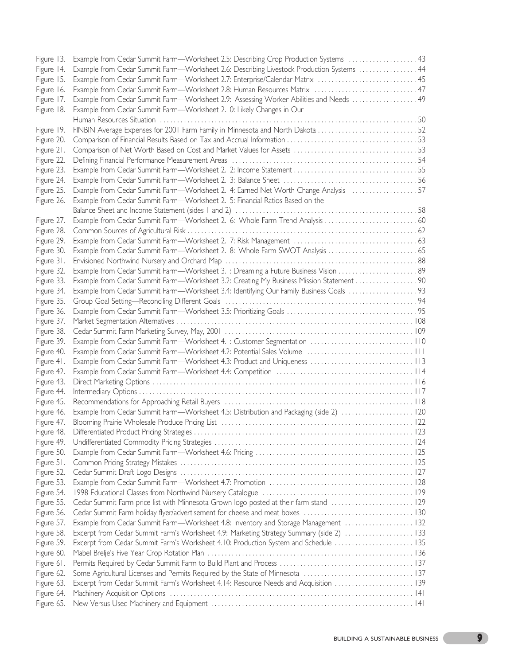| Figure 13. | Example from Cedar Summit Farm--Worksheet 2.5: Describing Crop Production Systems  43                          |  |
|------------|----------------------------------------------------------------------------------------------------------------|--|
| Figure 14. | Example from Cedar Summit Farm--Worksheet 2.6: Describing Livestock Production Systems  44                     |  |
| Figure 15. | Example from Cedar Summit Farm—Worksheet 2.7: Enterprise/Calendar Matrix  45                                   |  |
| Figure 16. | Example from Cedar Summit Farm—Worksheet 2.8: Human Resources Matrix  47                                       |  |
| Figure 17. | Example from Cedar Summit Farm—Worksheet 2.9: Assessing Worker Abilities and Needs  49                         |  |
| Figure 18. | Example from Cedar Summit Farm-Worksheet 2.10: Likely Changes in Our                                           |  |
|            |                                                                                                                |  |
| Figure 19. | FINBIN Average Expenses for 2001 Farm Family in Minnesota and North Dakota 52                                  |  |
| Figure 20. |                                                                                                                |  |
| Figure 21. |                                                                                                                |  |
| Figure 22. |                                                                                                                |  |
| Figure 23. |                                                                                                                |  |
| Figure 24. |                                                                                                                |  |
| Figure 25. | Example from Cedar Summit Farm—Worksheet 2.14: Earned Net Worth Change Analysis 57                             |  |
| Figure 26. | Example from Cedar Summit Farm-Worksheet 2.15: Financial Ratios Based on the                                   |  |
|            |                                                                                                                |  |
| Figure 27. | Example from Cedar Summit Farm--Worksheet 2.16: Whole Farm Trend Analysis  60                                  |  |
| Figure 28. |                                                                                                                |  |
| Figure 29. |                                                                                                                |  |
| Figure 30. | Example from Cedar Summit Farm—Worksheet 2.18: Whole Farm SWOT Analysis  65                                    |  |
| Figure 31. |                                                                                                                |  |
| Figure 32. |                                                                                                                |  |
| Figure 33. | Example from Cedar Summit Farm—Worksheet 3.2: Creating My Business Mission Statement  90                       |  |
|            | Example from Cedar Summit Farm--Worksheet 3.4: Identifying Our Family Business Goals  93                       |  |
| Figure 34. |                                                                                                                |  |
| Figure 35. |                                                                                                                |  |
| Figure 36. |                                                                                                                |  |
| Figure 37. |                                                                                                                |  |
| Figure 38. |                                                                                                                |  |
| Figure 39. | Example from Cedar Summit Farm—Worksheet 4.1: Customer Segmentation  110                                       |  |
| Figure 40. |                                                                                                                |  |
| Figure 41. | Example from Cedar Summit Farm--Worksheet 4.3: Product and Uniqueness  113                                     |  |
| Figure 42. |                                                                                                                |  |
| Figure 43. |                                                                                                                |  |
| Figure 44. |                                                                                                                |  |
| Figure 45. | Recommendations for Approaching Retail Buyers (and accommodational content and accommendations for Approaching |  |
| Figure 46. | Example from Cedar Summit Farm—Worksheet 4.5: Distribution and Packaging (side 2)  120                         |  |
| Figure 47. | Blooming Prairie Wholesale Produce Pricing List (and the content of the content of the Males of the Prairie of |  |
| Figure 48. |                                                                                                                |  |
| Figure 49. |                                                                                                                |  |
| Figure 50. |                                                                                                                |  |
| Figure 51. |                                                                                                                |  |
| Figure 52. |                                                                                                                |  |
| Figure 53. |                                                                                                                |  |
| Figure 54. |                                                                                                                |  |
| Figure 55. | Cedar Summit Farm price list with Minnesota Grown logo posted at their farm stand  129                         |  |
| Figure 56. | Cedar Summit Farm holiday flyer/advertisement for cheese and meat boxes  130                                   |  |
| Figure 57. | Example from Cedar Summit Farm—Worksheet 4.8: Inventory and Storage Management  132                            |  |
| Figure 58. | Excerpt from Cedar Summit Farm's Worksheet 4.9: Marketing Strategy Summary (side 2)  133                       |  |
| Figure 59. | Excerpt from Cedar Summit Farm's Worksheet 4.10: Production System and Schedule  135                           |  |
| Figure 60. |                                                                                                                |  |
| Figure 61. |                                                                                                                |  |
| Figure 62. | Some Agricultural Licenses and Permits Required by the State of Minnesota  137                                 |  |
| Figure 63. | Excerpt from Cedar Summit Farm's Worksheet 4.14: Resource Needs and Acquisition  139                           |  |
| Figure 64. |                                                                                                                |  |
| Figure 65. |                                                                                                                |  |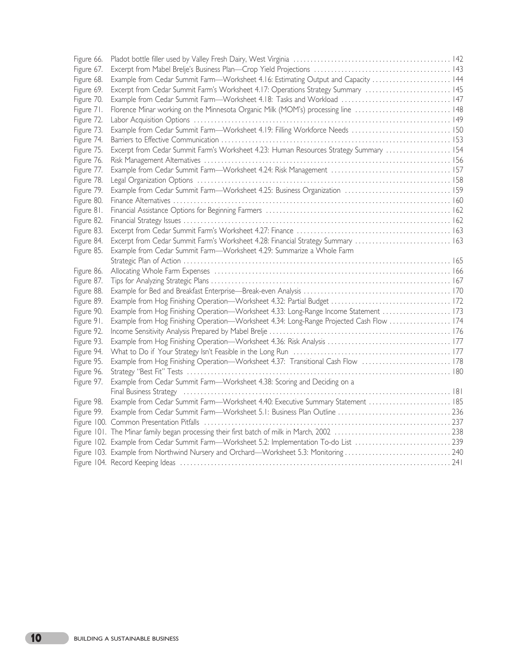| Figure 66. |                                                                                                                                                                                                                               |  |
|------------|-------------------------------------------------------------------------------------------------------------------------------------------------------------------------------------------------------------------------------|--|
| Figure 67. |                                                                                                                                                                                                                               |  |
| Figure 68. | Example from Cedar Summit Farm--Worksheet 4.16: Estimating Output and Capacity  144                                                                                                                                           |  |
| Figure 69. | Excerpt from Cedar Summit Farm's Worksheet 4.17: Operations Strategy Summary  145                                                                                                                                             |  |
| Figure 70. | Example from Cedar Summit Farm—Worksheet 4.18: Tasks and Workload  147                                                                                                                                                        |  |
| Figure 71. | Florence Minar working on the Minnesota Organic Milk (MOM's) processing line  148                                                                                                                                             |  |
| Figure 72. |                                                                                                                                                                                                                               |  |
| Figure 73. | Example from Cedar Summit Farm--Worksheet 4.19: Filling Workforce Needs  150                                                                                                                                                  |  |
| Figure 74. |                                                                                                                                                                                                                               |  |
| Figure 75. | Excerpt from Cedar Summit Farm's Worksheet 4.23: Human Resources Strategy Summary  154                                                                                                                                        |  |
| Figure 76. |                                                                                                                                                                                                                               |  |
| Figure 77. |                                                                                                                                                                                                                               |  |
| Figure 78. |                                                                                                                                                                                                                               |  |
| Figure 79. | Example from Cedar Summit Farm—Worksheet 4.25: Business Organization  159                                                                                                                                                     |  |
| Figure 80. |                                                                                                                                                                                                                               |  |
| Figure 81. |                                                                                                                                                                                                                               |  |
| Figure 82. |                                                                                                                                                                                                                               |  |
| Figure 83. |                                                                                                                                                                                                                               |  |
| Figure 84. | Excerpt from Cedar Summit Farm's Worksheet 4.28: Financial Strategy Summary  163                                                                                                                                              |  |
| Figure 85. | Example from Cedar Summit Farm-Worksheet 4.29: Summarize a Whole Farm                                                                                                                                                         |  |
|            |                                                                                                                                                                                                                               |  |
| Figure 86. |                                                                                                                                                                                                                               |  |
| Figure 87. |                                                                                                                                                                                                                               |  |
| Figure 88. |                                                                                                                                                                                                                               |  |
| Figure 89. |                                                                                                                                                                                                                               |  |
| Figure 90. | Example from Hog Finishing Operation—Worksheet 4.33: Long-Range Income Statement  173                                                                                                                                         |  |
| Figure 91. | Example from Hog Finishing Operation--Worksheet 4.34: Long-Range Projected Cash Flow  174                                                                                                                                     |  |
| Figure 92. |                                                                                                                                                                                                                               |  |
| Figure 93. |                                                                                                                                                                                                                               |  |
| Figure 94. |                                                                                                                                                                                                                               |  |
| Figure 95. | Example from Hog Finishing Operation-Worksheet 4.37: Transitional Cash Flow  178                                                                                                                                              |  |
| Figure 96. |                                                                                                                                                                                                                               |  |
| Figure 97. | Example from Cedar Summit Farm-Worksheet 4.38: Scoring and Deciding on a                                                                                                                                                      |  |
|            | Final Business Strategy (and according to the control of the control of the control of the control of the control of the control of the control of the control of the control of the control of the control of the control of |  |
|            | Figure 98. Example from Cedar Summit Farm—Worksheet 4.40: Executive Summary Statement  185                                                                                                                                    |  |
|            | Figure 99. Example from Cedar Summit Farm-Worksheet 5.1: Business Plan Outline  236                                                                                                                                           |  |
|            |                                                                                                                                                                                                                               |  |
|            |                                                                                                                                                                                                                               |  |
|            | Figure 102. Example from Cedar Summit Farm-Worksheet 5.2: Implementation To-do List  239                                                                                                                                      |  |
|            | Figure 103. Example from Northwind Nursery and Orchard—Worksheet 5.3: Monitoring  240                                                                                                                                         |  |
|            |                                                                                                                                                                                                                               |  |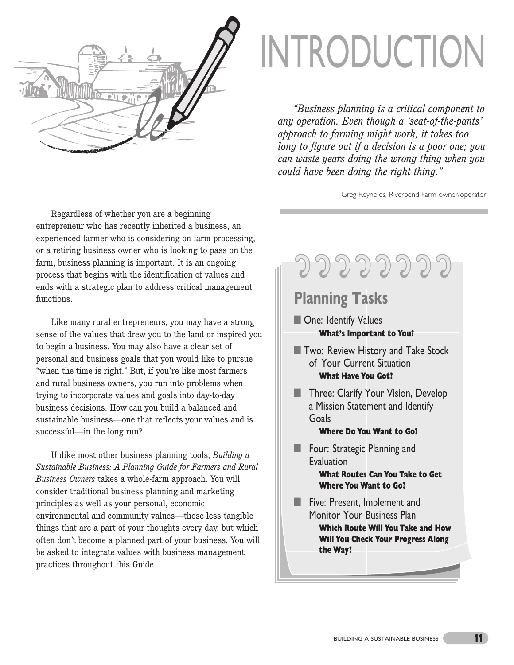# iNtRODuCtiON

*"Business planning is a critical component to any operation. Even though a 'seat-of-the-pants' approach to farming might work, it takes too long to figure out if a decision is a poor one; you can waste years doing the wrong thing when you could have been doing the right thing."*

—Greg Reynolds, Riverbend Farm owner/operator.

experienced farmer who is considering on-farm processing, or a retiring business owner who is looking to pass on the farm, business planning is important. It is an ongoing process that begins with the identification of values and ends with a strategic plan to address critical management functions. Like many rural entrepreneurs, you may have a strong sense of the values that drew you to the land or inspired you to begin a business. You may also have a clear set of personal and business goals that you would like to pursue "when the time is right." But, if you're like most farmers and rural business owners, you run into problems when trying to incorporate values and goals into day-to-day business decisions. How can you build a balanced and

Regardless of whether you are a beginning entrepreneur who has recently inherited a business, an

Unlike most other business planning tools, *Building a Sustainable Business: A Planning Guide for Farmers and Rural Business Owners* takes a whole-farm approach. You will consider traditional business planning and marketing principles as well as your personal, economic, environmental and community values—those less tangible things that are a part of your thoughts every day, but which often don't become a planned part of your business. You will be asked to integrate values with business management practices throughout this Guide.

sustainable business—one that reflects your values and is

successful—in the long run?

### つつつつつつつ **Planning Tasks** ■ One: Identify Values **What's Important to You?** ■ Two: Review History and Take Stock of Your Current Situation **What Have You Got?** ■ Three: Clarify Your Vision, Develop a Mission Statement and identify goals **Where Do You Want to Go?** ■ Four: Strategic Planning and **Evaluation What Routes Can You Take to Get Where You Want to Go?** ■ Five: Present, Implement and Monitor Your Business Plan **Which Route Will You Take and How Will You Check Your Progress Along the Way?**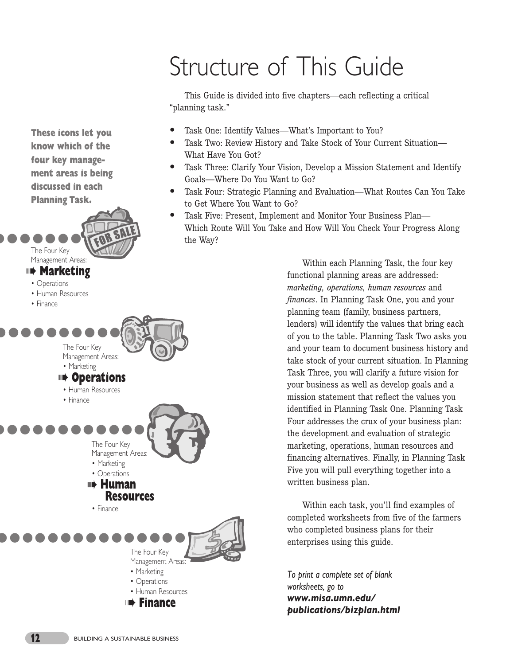# Structure of This Guide

This Guide is divided into five chapters—each reflecting a critical "planning task."

- **•** Task One: Identify Values—What's Important to You?
- **•** Task Two: Review History and Take Stock of Your Current Situation— What Have You Got?
- **•** Task Three: Clarify Your Vision, Develop a Mission Statement and Identify Goals—Where Do You Want to Go?
- **•** Task Four: Strategic Planning and Evaluation—What Routes Can You Take to Get Where You Want to Go?
- **•** Task Five: Present, Implement and Monitor Your Business Plan— Which Route Will You Take and How Will You Check Your Progress Along the Way?

Within each Planning Task, the four key functional planning areas are addressed: *marketing, operations, human resources* and *finances*. In Planning Task One, you and your planning team (family, business partners, lenders) will identify the values that bring each of you to the table. Planning Task Two asks you and your team to document business history and take stock of your current situation. In Planning Task Three, you will clarify a future vision for your business as well as develop goals and a mission statement that reflect the values you identified in Planning Task One. Planning Task Four addresses the crux of your business plan: the development and evaluation of strategic marketing, operations, human resources and financing alternatives. Finally, in Planning Task Five you will pull everything together into a written business plan.

Within each task, you'll find examples of completed worksheets from five of the farmers who completed business plans for their enterprises using this guide.

*To print a complete set of blank worksheets, go to www.misa.umn.edu/ publications/bizplan.html*

**These icons let you know which of the four key management areas is being discussed in each Planning Task.**

**......** The Four Key Management Areas: ➠ **Marketing** • Operations • Human Resources • Finance . Finance<br>**. . . . . . . . . . . . . . .** The Four Key Management Areas: • Marketing ➠ **Operations** • Human Resources • Finance **............** The Four Key Management Areas: • Marketing • Operations ➠ **Human Resources** • Finance . Finance<br>**. . . . . . . . . . . . . . . . . .** The Four Key Management Areas:

- Marketing
- Operations
- Human Resources

➠ **Finance**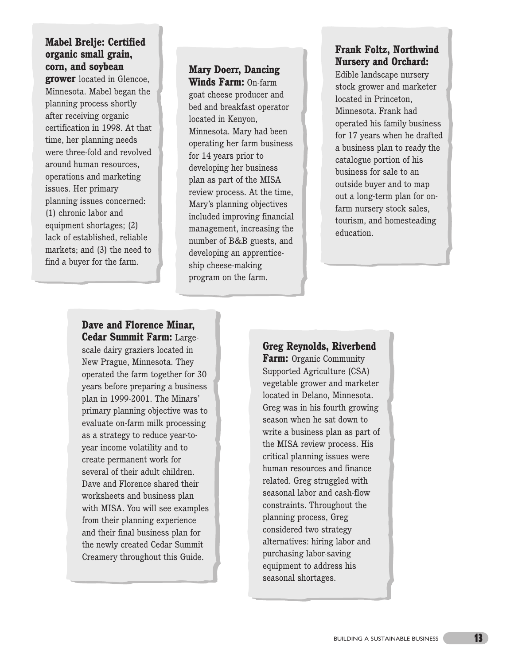#### **Mabel Brelje: Certified organic small grain, corn, and soybean**

**grower** located in Glencoe, Minnesota. Mabel began the planning process shortly after receiving organic certification in 1998. At that time, her planning needs were three-fold and revolved around human resources, operations and marketing issues. Her primary planning issues concerned: (1) chronic labor and equipment shortages; (2) lack of established, reliable markets; and (3) the need to find a buyer for the farm.

#### **Mary Doerr, Dancing Winds Farm:** On-farm

goat cheese producer and bed and breakfast operator located in Kenyon, Minnesota. Mary had been operating her farm business for 14 years prior to developing her business plan as part of the MISA review process. At the time, Mary's planning objectives included improving financial management, increasing the number of B&B guests, and developing an apprenticeship cheese-making program on the farm.

#### **Frank Foltz, Northwind Nursery and Orchard:**

Edible landscape nursery stock grower and marketer located in Princeton, Minnesota. Frank had operated his family business for 17 years when he drafted a business plan to ready the catalogue portion of his business for sale to an outside buyer and to map out a long-term plan for onfarm nursery stock sales, tourism, and homesteading education.

#### **Dave and Florence Minar, Cedar Summit Farm:** Large-

scale dairy graziers located in New Prague, Minnesota. They operated the farm together for 30 years before preparing a business plan in 1999-2001. The Minars' primary planning objective was to evaluate on-farm milk processing as a strategy to reduce year-toyear income volatility and to create permanent work for several of their adult children. Dave and Florence shared their worksheets and business plan with MISA. You will see examples from their planning experience and their final business plan for the newly created Cedar Summit Creamery throughout this Guide.

**Greg Reynolds, Riverbend Farm:** Organic Community Supported Agriculture (CSA) vegetable grower and marketer located in Delano, Minnesota. Greg was in his fourth growing season when he sat down to write a business plan as part of the MISA review process. His critical planning issues were human resources and finance related. Greg struggled with seasonal labor and cash-flow constraints. Throughout the planning process, Greg considered two strategy alternatives: hiring labor and purchasing labor-saving equipment to address his seasonal shortages.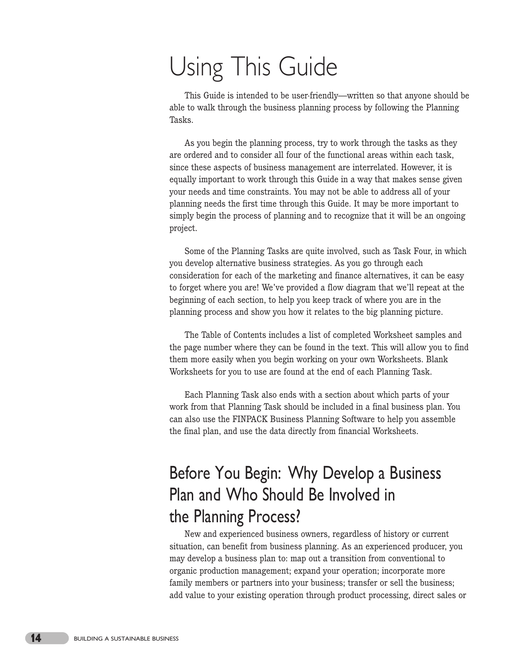# Using This Guide

This Guide is intended to be user-friendly—written so that anyone should be able to walk through the business planning process by following the Planning Tasks.

As you begin the planning process, try to work through the tasks as they are ordered and to consider all four of the functional areas within each task, since these aspects of business management are interrelated. However, it is equally important to work through this Guide in a way that makes sense given your needs and time constraints. You may not be able to address all of your planning needs the first time through this Guide. It may be more important to simply begin the process of planning and to recognize that it will be an ongoing project.

Some of the Planning Tasks are quite involved, such as Task Four, in which you develop alternative business strategies. As you go through each consideration for each of the marketing and finance alternatives, it can be easy to forget where you are! We've provided a flow diagram that we'll repeat at the beginning of each section, to help you keep track of where you are in the planning process and show you how it relates to the big planning picture.

The Table of Contents includes a list of completed Worksheet samples and the page number where they can be found in the text. This will allow you to find them more easily when you begin working on your own Worksheets. Blank Worksheets for you to use are found at the end of each Planning Task.

Each Planning Task also ends with a section about which parts of your work from that Planning Task should be included in a final business plan. You can also use the FINPACK Business Planning Software to help you assemble the final plan, and use the data directly from financial Worksheets.

## Before You Begin: Why Develop a Business Plan and Who Should Be involved in the Planning Process?

New and experienced business owners, regardless of history or current situation, can benefit from business planning. As an experienced producer, you may develop a business plan to: map out a transition from conventional to organic production management; expand your operation; incorporate more family members or partners into your business; transfer or sell the business; add value to your existing operation through product processing, direct sales or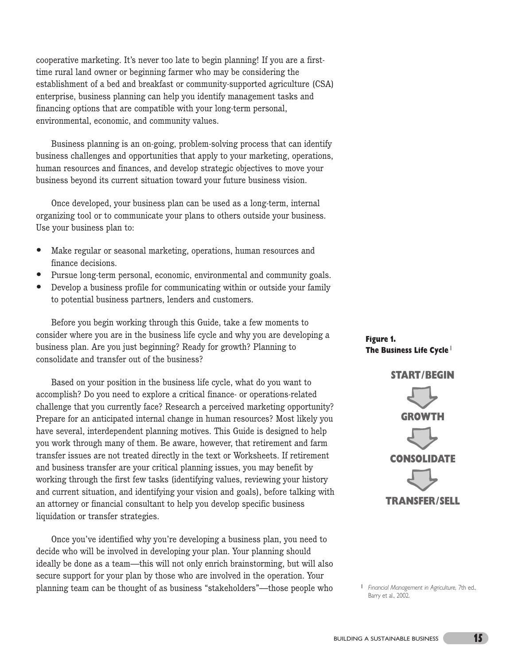cooperative marketing. It's never too late to begin planning! If you are a firsttime rural land owner or beginning farmer who may be considering the establishment of a bed and breakfast or community-supported agriculture (CSA) enterprise, business planning can help you identify management tasks and financing options that are compatible with your long-term personal, environmental, economic, and community values.

Business planning is an on-going, problem-solving process that can identify business challenges and opportunities that apply to your marketing, operations, human resources and finances, and develop strategic objectives to move your business beyond its current situation toward your future business vision.

Once developed, your business plan can be used as a long-term, internal organizing tool or to communicate your plans to others outside your business. Use your business plan to:

- **•** Make regular or seasonal marketing, operations, human resources and finance decisions.
- **•** Pursue long-term personal, economic, environmental and community goals.
- **•** Develop a business profile for communicating within or outside your family to potential business partners, lenders and customers.

Before you begin working through this Guide, take a few moments to consider where you are in the business life cycle and why you are developing a business plan. Are you just beginning? Ready for growth? Planning to consolidate and transfer out of the business?

Based on your position in the business life cycle, what do you want to accomplish? Do you need to explore a critical finance- or operations-related challenge that you currently face? Research a perceived marketing opportunity? Prepare for an anticipated internal change in human resources? Most likely you have several, interdependent planning motives. This Guide is designed to help you work through many of them. Be aware, however, that retirement and farm transfer issues are not treated directly in the text or Worksheets. If retirement and business transfer are your critical planning issues, you may benefit by working through the first few tasks (identifying values, reviewing your history and current situation, and identifying your vision and goals), before talking with an attorney or financial consultant to help you develop specific business liquidation or transfer strategies.

Once you've identified why you're developing a business plan, you need to decide who will be involved in developing your plan. Your planning should ideally be done as a team—this will not only enrich brainstorming, but will also secure support for your plan by those who are involved in the operation. Your planning team can be thought of as business "stakeholders"—those people who





1 *Financial Management in Agriculture,* 7th ed., Barry et al., 2002.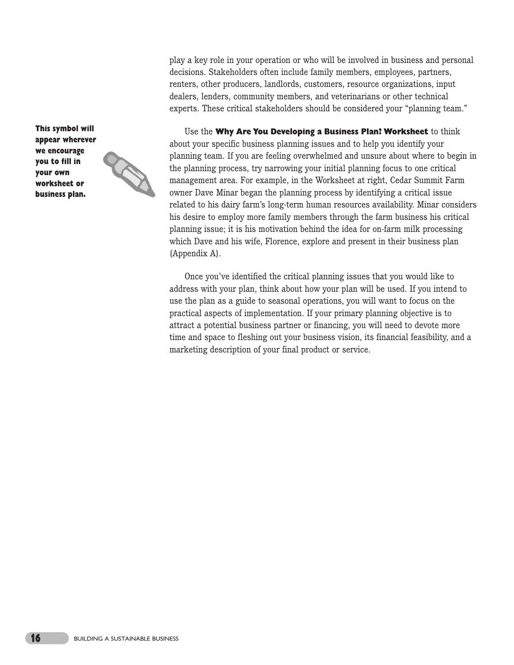**This symbol will appear wherever we encourage you to fill in your own worksheet or business plan.**



play a key role in your operation or who will be involved in business and personal decisions. Stakeholders often include family members, employees, partners, renters, other producers, landlords, customers, resource organizations, input dealers, lenders, community members, and veterinarians or other technical experts. These critical stakeholders should be considered your "planning team."

Use the **Why Are You Developing a Business Plan? Worksheet** to think about your specific business planning issues and to help you identify your planning team. If you are feeling overwhelmed and unsure about where to begin in the planning process, try narrowing your initial planning focus to one critical management area. For example, in the Worksheet at right, Cedar Summit Farm owner Dave Minar began the planning process by identifying a critical issue related to his dairy farm's long-term human resources availability. Minar considers his desire to employ more family members through the farm business his critical planning issue; it is his motivation behind the idea for on-farm milk processing which Dave and his wife, Florence, explore and present in their business plan (Appendix A).

Once you've identified the critical planning issues that you would like to address with your plan, think about how your plan will be used. If you intend to use the plan as a guide to seasonal operations, you will want to focus on the practical aspects of implementation. If your primary planning objective is to attract a potential business partner or financing, you will need to devote more time and space to fleshing out your business vision, its financial feasibility, and a marketing description of your final product or service.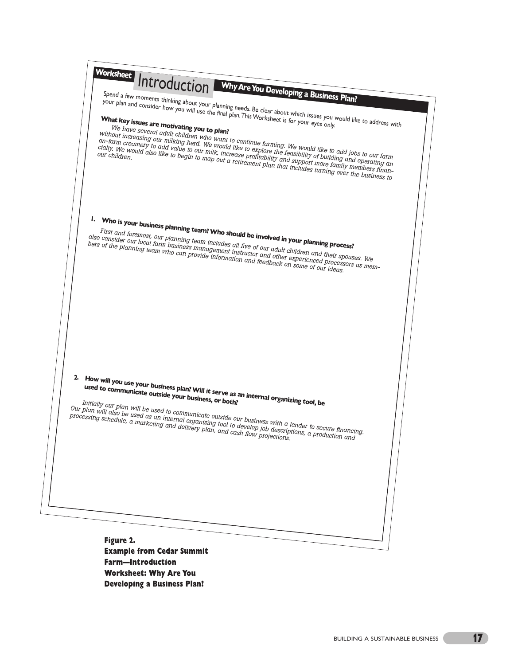

**Example from Cedar Summit Farm—Introduction Worksheet: Why Are You Developing a Business Plan?**